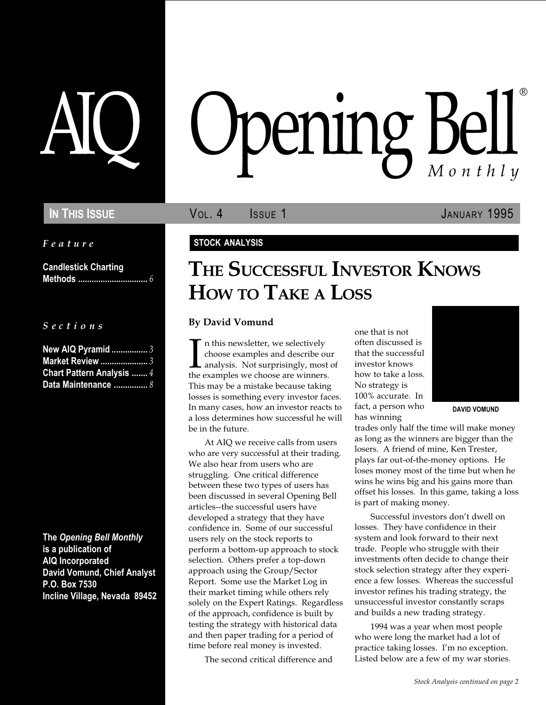Feature

Candlestick Charting Methods ............................... 6

S e c t i o n s

| <b>New AIQ Pyramid 3</b>         |
|----------------------------------|
| <b>Market Review </b> 3          |
| <b>Chart Pattern Analysis  4</b> |
| Data Maintenance $8$             |

The Opening Bell Monthly is a publication of AIQ Incorporated David Vomund, Chief Analyst P.O. Box 7530 Incline Village, Nevada 89452

# pening Bel Monthly ®

IN THIS ISSUE **VOL. 4** ISSUE 1 JANUARY 1995

### STOCK ANALYSIS

## THE SUCCESSFUL INVESTOR KNOWS HOW TO TAKE A LOSS

#### By David Vomund

In this newsletter, we selectively<br>choose examples and describe ou<br>analysis. Not surprisingly, most<br>the examples we choose are winners. n this newsletter, we selectively choose examples and describe our analysis. Not surprisingly, most of This may be a mistake because taking losses is something every investor faces. In many cases, how an investor reacts to a loss determines how successful he will be in the future.

At AIQ we receive calls from users who are very successful at their trading. We also hear from users who are struggling. One critical difference between these two types of users has been discussed in several Opening Bell articles--the successful users have developed a strategy that they have confidence in. Some of our successful users rely on the stock reports to perform a bottom-up approach to stock selection. Others prefer a top-down approach using the Group/Sector Report. Some use the Market Log in their market timing while others rely solely on the Expert Ratings. Regardless of the approach, confidence is built by testing the strategy with historical data and then paper trading for a period of time before real money is invested.

The second critical difference and

one that is not often discussed is that the successful investor knows how to take a loss. No strategy is 100% accurate. In fact, a person who has winning



DAVID VOMUND

trades only half the time will make money as long as the winners are bigger than the losers. A friend of mine, Ken Trester, plays far out-of-the-money options. He loses money most of the time but when he wins he wins big and his gains more than offset his losses. In this game, taking a loss is part of making money.

Successful investors don't dwell on losses. They have confidence in their system and look forward to their next trade. People who struggle with their investments often decide to change their stock selection strategy after they experience a few losses. Whereas the successful investor refines his trading strategy, the unsuccessful investor constantly scraps and builds a new trading strategy.

1994 was a year when most people who were long the market had a lot of practice taking losses. I'm no exception. Listed below are a few of my war stories.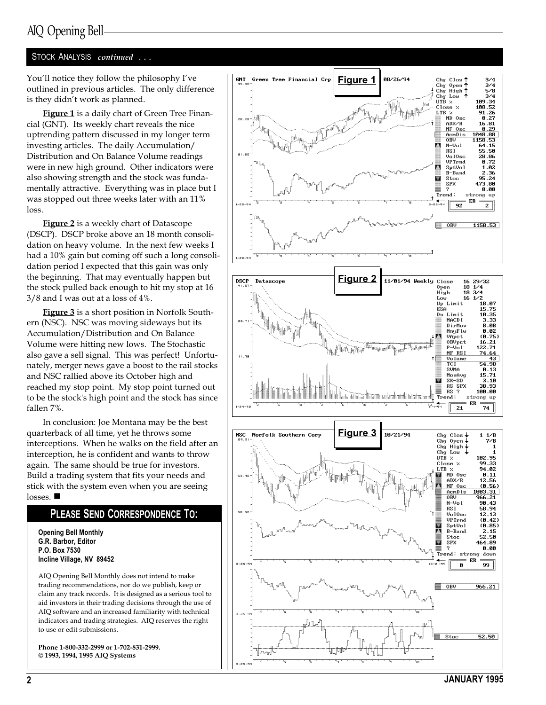### AIQ Opening Bell

#### STOCK ANALYSIS continued ..

You'll notice they follow the philosophy I've outlined in previous articles. The only difference is they didn't work as planned.

Figure 1 is a daily chart of Green Tree Financial (GNT). Its weekly chart reveals the nice uptrending pattern discussed in my longer term investing articles. The daily Accumulation/ Distribution and On Balance Volume readings were in new high ground. Other indicators were also showing strength and the stock was fundamentally attractive. Everything was in place but I was stopped out three weeks later with an 11% loss.

**Figure 2** is a weekly chart of Datascope (DSCP). DSCP broke above an 18 month consolidation on heavy volume. In the next few weeks I had a 10% gain but coming off such a long consolidation period I expected that this gain was only the beginning. That may eventually happen but the stock pulled back enough to hit my stop at 16 3/8 and I was out at a loss of 4%.

Figure 3 is a short position in Norfolk Southern (NSC). NSC was moving sideways but its Accumulation/Distribution and On Balance Volume were hitting new lows. The Stochastic also gave a sell signal. This was perfect! Unfortunately, merger news gave a boost to the rail stocks and NSC rallied above its October high and reached my stop point. My stop point turned out to be the stock's high point and the stock has since fallen 7%.

In conclusion: Joe Montana may be the best quarterback of all time, yet he throws some interceptions. When he walks on the field after an interception, he is confident and wants to throw again. The same should be true for investors. Build a trading system that fits your needs and stick with the system even when you are seeing losses. ■

#### PLEASE SEND CORRESPONDENCE T O :

Opening Bell Monthly G.R. Barbor, Editor P.O. Box 7530 Incline Village, NV 89452

AIQ Opening Bell Monthly does not intend to make trading recommendations, nor do we publish, keep or claim any track records. It is designed as a serious tool to aid investors in their trading decisions through the use of AIQ software and an increased familiarity with technical indicators and trading strategies. AIQ reserves the right to use or edit submissions.

Phone 1-800-332-2999 or 1-702-831-2999. © 1993, 1994, 1995 AIQ Systems

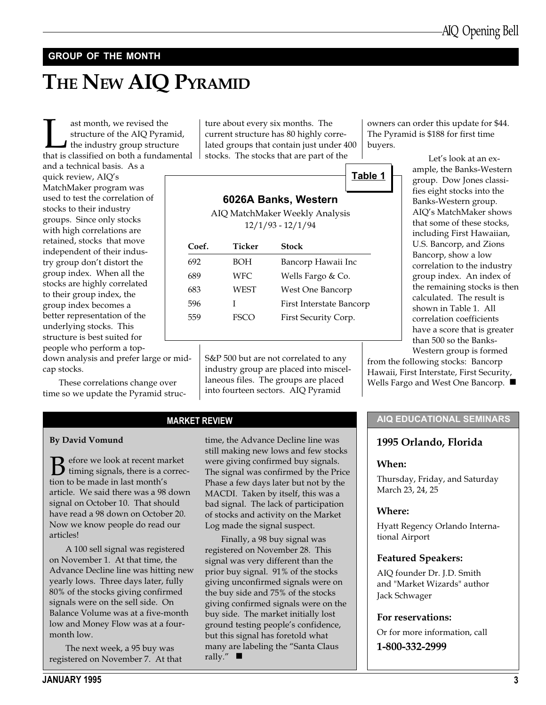#### GROUP OF THE MONTH

## THE NEW AIQ PYRAMID

**Last month, we revised the structure of the AIQ Pyramid, the industry group structure that is classified on both a fundamental** structure of the AIQ Pyramid, the industry group structure and a technical basis. As a

quick review, AIQ's MatchMaker program was used to test the correlation of stocks to their industry groups. Since only stocks with high correlations are retained, stocks that move independent of their industry group don't distort the group index. When all the stocks are highly correlated to their group index, the group index becomes a better representation of the underlying stocks. This structure is best suited for people who perform a top-

down analysis and prefer large or midcap stocks.

These correlations change over time so we update the Pyramid struc-

ture about every six months. The current structure has 80 highly correlated groups that contain just under 400 stocks. The stocks that are part of the

Table 1

### 6026A Banks, Western

AIQ MatchMaker Weekly Analysis 12/1/93 - 12/1/94

| Coef. | Ticker | Stock                    |  |  |
|-------|--------|--------------------------|--|--|
| 692   | BOH    | Bancorp Hawaii Inc       |  |  |
| 689   | WFC    | Wells Fargo & Co.        |  |  |
| 683   | WEST   | West One Bancorp         |  |  |
| 596   |        | First Interstate Bancorp |  |  |
| 559   | FSCO   | First Security Corp.     |  |  |
|       |        |                          |  |  |

S&P 500 but are not correlated to any industry group are placed into miscellaneous files. The groups are placed into fourteen sectors. AIQ Pyramid

MARKET REVIEW

#### By David Vomund

 $\mathbf{B}$  efore we look at recent market<br>tion to be made in last month's tion to be made in last month's article. We said there was a 98 down signal on October 10. That should have read a 98 down on October 20. Now we know people do read our articles!

A 100 sell signal was registered on November 1. At that time, the Advance Decline line was hitting new yearly lows. Three days later, fully 80% of the stocks giving confirmed signals were on the sell side. On Balance Volume was at a five-month low and Money Flow was at a fourmonth low.

The next week, a 95 buy was registered on November 7. At that

time, the Advance Decline line was still making new lows and few stocks were giving confirmed buy signals. The signal was confirmed by the Price Phase a few days later but not by the MACDI. Taken by itself, this was a bad signal. The lack of participation of stocks and activity on the Market Log made the signal suspect.

Finally, a 98 buy signal was registered on November 28. This signal was very different than the prior buy signal. 91% of the stocks giving unconfirmed signals were on the buy side and 75% of the stocks giving confirmed signals were on the buy side. The market initially lost ground testing people's confidence, but this signal has foretold what many are labeling the "Santa Claus rally."  $\blacksquare$ 

owners can order this update for \$44. The Pyramid is \$188 for first time buyers.

> Let's look at an example, the Banks-Western group. Dow Jones classifies eight stocks into the Banks-Western group. AIQ's MatchMaker shows that some of these stocks, including First Hawaiian, U.S. Bancorp, and Zions Bancorp, show a low correlation to the industry group index. An index of the remaining stocks is then calculated. The result is shown in Table 1. All correlation coefficients have a score that is greater than 500 so the Banks-Western group is formed

from the following stocks: Bancorp Hawaii, First Interstate, First Security, Wells Fargo and West One Bancorp.  $\blacksquare$ 

#### AIQ EDUCATIONAL SEMINARS

#### 1995 Orlando, Florida

#### When:

Thursday, Friday, and Saturday March 23, 24, 25

#### Where:

Hyatt Regency Orlando International Airport

#### Featured Speakers:

AIQ founder Dr. J.D. Smith and "Market Wizards" author Jack Schwager

#### For reservations:

Or for more information, call

1-800-332-2999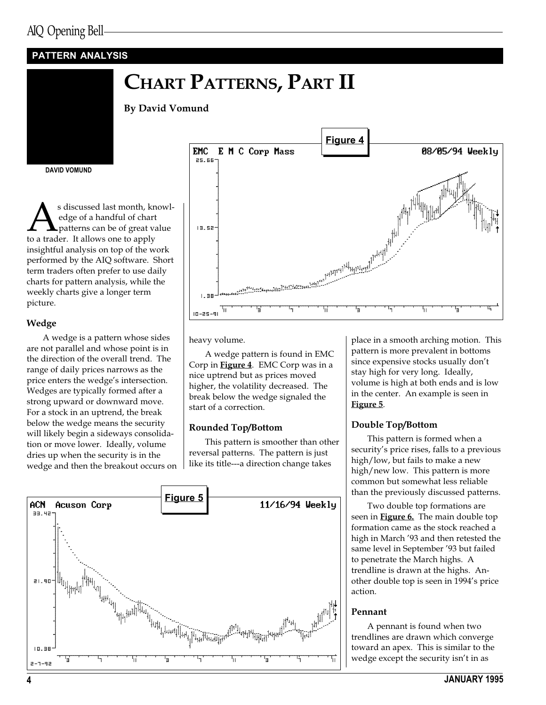### PATTERN ANALYSIS

### CHART PATTERNS, PART II

By David Vomund

DAVID VOMUND

As discussed last month, knowledge of a handful of chart<br>patterns can be of great value<br>to a trader. It allows one to apply edge of a handful of chart patterns can be of great value insightful analysis on top of the work performed by the AIQ software. Short term traders often prefer to use daily charts for pattern analysis, while the weekly charts give a longer term picture.

#### Wedge

A wedge is a pattern whose sides are not parallel and whose point is in the direction of the overall trend. The range of daily prices narrows as the price enters the wedge's intersection. Wedges are typically formed after a strong upward or downward move. For a stock in an uptrend, the break below the wedge means the security will likely begin a sideways consolidation or move lower. Ideally, volume dries up when the security is in the wedge and then the breakout occurs on



heavy volume.

A wedge pattern is found in EMC Corp in **Figure 4**. EMC Corp was in a nice uptrend but as prices moved higher, the volatility decreased. The break below the wedge signaled the start of a correction.

#### Rounded Top/Bottom

This pattern is smoother than other reversal patterns. The pattern is just like its title---a direction change takes



place in a smooth arching motion. This pattern is more prevalent in bottoms since expensive stocks usually don't stay high for very long. Ideally, volume is high at both ends and is low in the center. An example is seen in Figure 5.

#### Double Top/Bottom

This pattern is formed when a security's price rises, falls to a previous high/low, but fails to make a new high/new low. This pattern is more common but somewhat less reliable than the previously discussed patterns.

Two double top formations are seen in **Figure 6.** The main double top formation came as the stock reached a high in March '93 and then retested the same level in September '93 but failed to penetrate the March highs. A trendline is drawn at the highs. Another double top is seen in 1994's price action.

#### Pennant

A pennant is found when two trendlines are drawn which converge toward an apex. This is similar to the wedge except the security isn't in as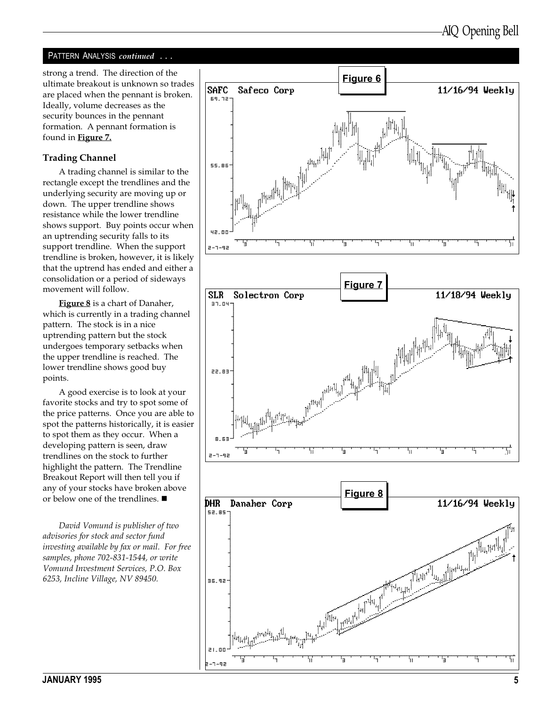#### PATTERN ANALYSIS continued . . .

strong a trend. The direction of the ultimate breakout is unknown so trades are placed when the pennant is broken. Ideally, volume decreases as the security bounces in the pennant formation. A pennant formation is found in **Figure 7.** 

#### Trading Channel

A trading channel is similar to the rectangle except the trendlines and the underlying security are moving up or down. The upper trendline shows resistance while the lower trendline shows support. Buy points occur when an uptrending security falls to its support trendline. When the support trendline is broken, however, it is likely that the uptrend has ended and either a consolidation or a period of sideways movement will follow.

Figure 8 is a chart of Danaher, which is currently in a trading channel pattern. The stock is in a nice uptrending pattern but the stock undergoes temporary setbacks when the upper trendline is reached. The lower trendline shows good buy points.

A good exercise is to look at your favorite stocks and try to spot some of the price patterns. Once you are able to spot the patterns historically, it is easier to spot them as they occur. When a developing pattern is seen, draw trendlines on the stock to further highlight the pattern. The Trendline Breakout Report will then tell you if any of your stocks have broken above or below one of the trendlines. ■

David Vomund is publisher of two advisories for stock and sector fund investing available by fax or mail. For free samples, phone 702-831-1544, or write Vomund Investment Services, P.O. Box 6253, Incline Village, NV 89450.

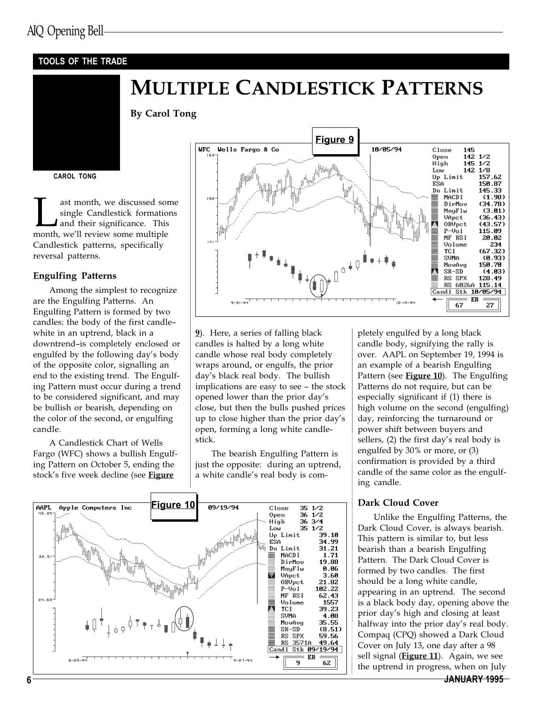#### TOOLS OF THE TRADE

### MULTIPLE CANDLESTICK PATTERNS

By Carol Tong

#### CAROL TONG

ast month, we discussed some<br>single Candlestick formations<br>and their significance. This<br>month, we'll review some multiple single Candlestick formations and their significance. This Candlestick patterns, specifically reversal patterns.

#### Engulfing Patterns

Among the simplest to recognize are the Engulfing Patterns. An Engulfing Pattern is formed by two candles: the body of the first candle white in an uptrend, black in a downtrend-is completely enclosed or engulfed by the following day's body of the opposite color, signalling an end to the existing trend. The Engulfing Pattern must occur during a trend to be considered significant, and may be bullish or bearish, depending on the color of the second, or engulfing candle.

A Candlestick Chart of Wells Fargo (WFC) shows a bullish Engulfing Pattern on October 5, ending the stock's five week decline (see Figure



9). Here, a series of falling black candles is halted by a long white candle whose real body completely wraps around, or engulfs, the prior day's black real body. The bullish implications are easy to see - the stock opened lower than the prior day's close, but then the bulls pushed prices up to close higher than the prior day's open, forming a long white candlestick.

The bearish Engulfing Pattern is just the opposite: during an uptrend, a white candle's real body is com-



pletely engulfed by a long black candle body, signifying the rally is over. AAPL on September 19, 1994 is an example of a bearish Engulfing Pattern (see Figure 10). The Engulfing Patterns do not require, but can be especially significant if (1) there is high volume on the second (engulfing) day, reinforcing the turnaround or power shift between buyers and sellers, (2) the first day's real body is engulfed by 30% or more, or (3) confirmation is provided by a third candle of the same color as the engulfing candle.

#### Dark Cloud Cover

Unlike the Engulfing Patterns, the Dark Cloud Cover, is always bearish. This pattern is similar to, but less bearish than a bearish Engulfing Pattern. The Dark Cloud Cover is formed by two candles. The first should be a long white candle, appearing in an uptrend. The second is a black body day, opening above the prior day's high and closing at least halfway into the prior day's real body. Compaq (CPQ) showed a Dark Cloud Cover on July 13, one day after a 98 sell signal (Figure 11). Again, we see the uptrend in progress, when on July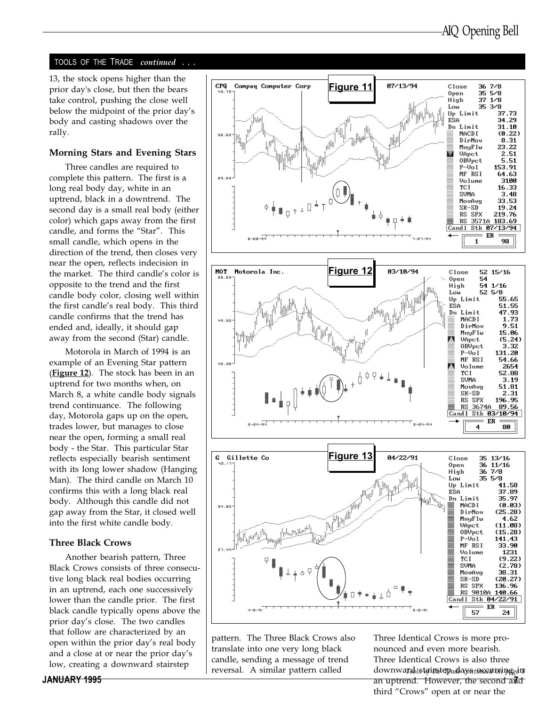#### TOOLS OF THE TRADE continued

13, the stock opens higher than the prior day's close, but then the bears take control, pushing the close well below the midpoint of the prior day's body and casting shadows over the rally.

#### Morning Stars and Evening Stars

Three candles are required to complete this pattern. The first is a long real body day, white in an uptrend, black in a downtrend. The second day is a small real body (either color) which gaps away from the first candle, and forms the "Star". This small candle, which opens in the direction of the trend, then closes very near the open, reflects indecision in the market. The third candle's color is opposite to the trend and the first candle body color, closing well within the first candle's real body. This third candle confirms that the trend has ended and, ideally, it should gap away from the second (Star) candle.

Motorola in March of 1994 is an example of an Evening Star pattern (**Figure 12**). The stock has been in an uptrend for two months when, on March 8, a white candle body signals trend continuance. The following day, Motorola gaps up on the open, trades lower, but manages to close near the open, forming a small real body - the Star. This particular Star reflects especially bearish sentiment with its long lower shadow (Hanging Man). The third candle on March 10 confirms this with a long black real body. Although this candle did not gap away from the Star, it closed well into the first white candle body.

#### Three Black Crows

Another bearish pattern, Three Black Crows consists of three consecutive long black real bodies occurring in an uptrend, each one successively lower than the candle prior. The first black candle typically opens above the prior day's close. The two candles that follow are characterized by an open within the prior day's real body and a close at or near the prior day's low, creating a downward stairstep





pattern. The Three Black Crows also translate into one very long black candle, sending a message of trend reversal. A similar pattern called

JANUARY 1995 7 an uptrend. However, the second and Three Identical Crows is more pronounced and even more bearish. Three Identical Crows is also three downwa**rd** is tainstep ad ay<del>a incentring</del> gins third "Crows" open at or near the